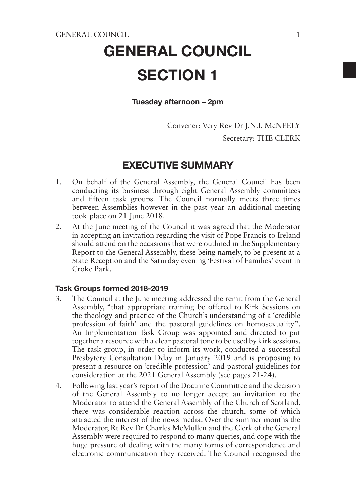# GENERAL COUNCIL SECTION 1

### Tuesday afternoon – 2pm

Convener: Very Rev Dr J.N.I. McNEELY Secretary: THE CLERK

### EXECUTIVE SUMMARY

- 1. On behalf of the General Assembly, the General Council has been conducting its business through eight General Assembly committees and fifteen task groups. The Council normally meets three times between Assemblies however in the past year an additional meeting took place on 21 June 2018.
- 2. At the June meeting of the Council it was agreed that the Moderator in accepting an invitation regarding the visit of Pope Francis to Ireland should attend on the occasions that were outlined in the Supplementary Report to the General Assembly, these being namely, to be present at a State Reception and the Saturday evening 'Festival of Families' event in Croke Park.

### Task Groups formed 2018-2019

- 3. The Council at the June meeting addressed the remit from the General Assembly, "that appropriate training be offered to Kirk Sessions on the theology and practice of the Church's understanding of a 'credible profession of faith' and the pastoral guidelines on homosexuality". An Implementation Task Group was appointed and directed to put together a resource with a clear pastoral tone to be used by kirk sessions. The task group, in order to inform its work, conducted a successful Presbytery Consultation Dday in January 2019 and is proposing to present a resource on 'credible profession' and pastoral guidelines for consideration at the 2021 General Assembly (see pages 21-24).
- 4. Following last year's report of the Doctrine Committee and the decision of the General Assembly to no longer accept an invitation to the Moderator to attend the General Assembly of the Church of Scotland, there was considerable reaction across the church, some of which attracted the interest of the news media. Over the summer months the Moderator, Rt Rev Dr Charles McMullen and the Clerk of the General Assembly were required to respond to many queries, and cope with the huge pressure of dealing with the many forms of correspondence and electronic communication they received. The Council recognised the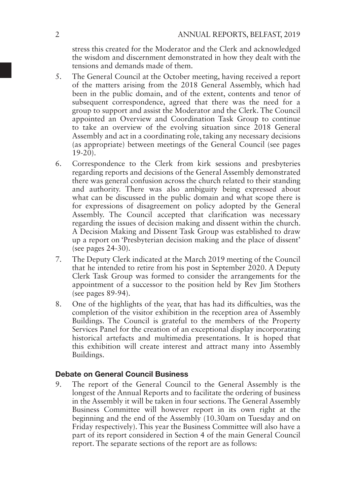stress this created for the Moderator and the Clerk and acknowledged the wisdom and discernment demonstrated in how they dealt with the tensions and demands made of them.

- 5. The General Council at the October meeting, having received a report of the matters arising from the 2018 General Assembly, which had been in the public domain, and of the extent, contents and tenor of subsequent correspondence, agreed that there was the need for a group to support and assist the Moderator and the Clerk. The Council appointed an Overview and Coordination Task Group to continue to take an overview of the evolving situation since 2018 General Assembly and act in a coordinating role, taking any necessary decisions (as appropriate) between meetings of the General Council (see pages 19-20).
- 6. Correspondence to the Clerk from kirk sessions and presbyteries regarding reports and decisions of the General Assembly demonstrated there was general confusion across the church related to their standing and authority. There was also ambiguity being expressed about what can be discussed in the public domain and what scope there is for expressions of disagreement on policy adopted by the General Assembly. The Council accepted that clarification was necessary regarding the issues of decision making and dissent within the church. A Decision Making and Dissent Task Group was established to draw up a report on 'Presbyterian decision making and the place of dissent' (see pages 24-30).
- 7. The Deputy Clerk indicated at the March 2019 meeting of the Council that he intended to retire from his post in September 2020. A Deputy Clerk Task Group was formed to consider the arrangements for the appointment of a successor to the position held by Rev Jim Stothers (see pages 89-94).
- 8. One of the highlights of the year, that has had its difficulties, was the completion of the visitor exhibition in the reception area of Assembly Buildings. The Council is grateful to the members of the Property Services Panel for the creation of an exceptional display incorporating historical artefacts and multimedia presentations. It is hoped that this exhibition will create interest and attract many into Assembly Buildings.

### Debate on General Council Business

9. The report of the General Council to the General Assembly is the longest of the Annual Reports and to facilitate the ordering of business in the Assembly it will be taken in four sections. The General Assembly Business Committee will however report in its own right at the beginning and the end of the Assembly (10.30am on Tuesday and on Friday respectively). This year the Business Committee will also have a part of its report considered in Section 4 of the main General Council report. The separate sections of the report are as follows: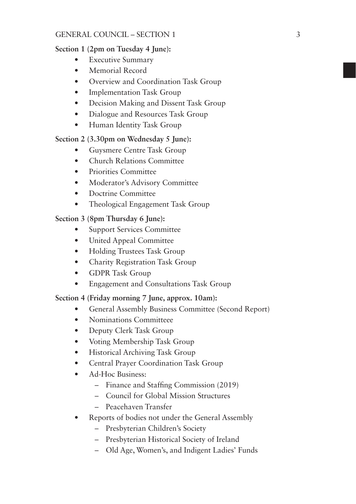### GENERAL COUNCIL – SECTION 1

### **Section 1 (2pm on Tuesday 4 June):**

- Executive Summary
- Memorial Record
- Overview and Coordination Task Group
- Implementation Task Group
- Decision Making and Dissent Task Group
- Dialogue and Resources Task Group
- Human Identity Task Group

### **Section 2 (3.30pm on Wednesday 5 June):**

- Guysmere Centre Task Group
- Church Relations Committee
- Priorities Committee
- Moderator's Advisory Committee
- Doctrine Committee
- Theological Engagement Task Group

### **Section 3 (8pm Thursday 6 June):**

- Support Services Committee
- United Appeal Committee
- Holding Trustees Task Group
- Charity Registration Task Group
- GDPR Task Group
- Engagement and Consultations Task Group

### **Section 4 (Friday morning 7 June, approx. 10am):**

- General Assembly Business Committee (Second Report)
- Nominations Committeee
- Deputy Clerk Task Group
- Voting Membership Task Group
- Historical Archiving Task Group
- Central Prayer Coordination Task Group
- Ad-Hoc Business:
	- Finance and Staffing Commission (2019)
	- Council for Global Mission Structures
	- Peacehaven Transfer
- Reports of bodies not under the General Assembly
	- Presbyterian Children's Society
	- Presbyterian Historical Society of Ireland
	- Old Age, Women's, and Indigent Ladies' Funds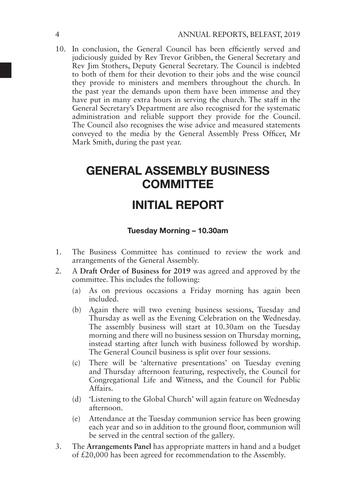10. In conclusion, the General Council has been efficiently served and judiciously guided by Rev Trevor Gribben, the General Secretary and Rev Jim Stothers, Deputy General Secretary. The Council is indebted to both of them for their devotion to their jobs and the wise council they provide to ministers and members throughout the church. In the past year the demands upon them have been immense and they have put in many extra hours in serving the church. The staff in the General Secretary's Department are also recognised for the systematic administration and reliable support they provide for the Council. The Council also recognises the wise advice and measured statements conveyed to the media by the General Assembly Press Officer, Mr Mark Smith, during the past year.

# GENERAL ASSEMBLY BUSINESS **COMMITTEE**

# INITIAL REPORT

### Tuesday Morning – 10.30am

- 1. The Business Committee has continued to review the work and arrangements of the General Assembly.
- 2. A **Draft Order of Business for 2019** was agreed and approved by the committee. This includes the following:
	- (a) As on previous occasions a Friday morning has again been included.
	- (b) Again there will two evening business sessions, Tuesday and Thursday as well as the Evening Celebration on the Wednesday. The assembly business will start at 10.30am on the Tuesday morning and there will no business session on Thursday morning, instead starting after lunch with business followed by worship. The General Council business is split over four sessions.
	- (c) There will be 'alternative presentations' on Tuesday evening and Thursday afternoon featuring, respectively, the Council for Congregational Life and Witness, and the Council for Public Affairs.
	- (d) 'Listening to the Global Church' will again feature on Wednesday afternoon.
	- (e) Attendance at the Tuesday communion service has been growing each year and so in addition to the ground floor, communion will be served in the central section of the gallery.
- 3. The **Arrangements Panel** has appropriate matters in hand and a budget of £20,000 has been agreed for recommendation to the Assembly.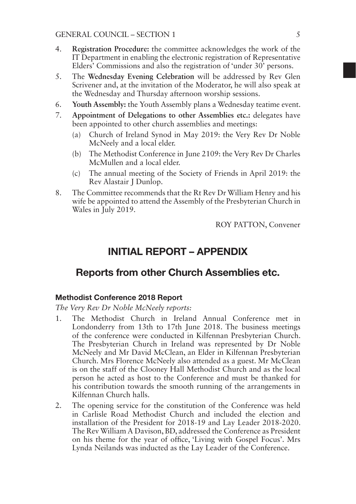- 4. **Registration Procedure:** the committee acknowledges the work of the IT Department in enabling the electronic registration of Representative Elders' Commissions and also the registration of 'under 30' persons.
- 5. The **Wednesday Evening Celebration** will be addressed by Rev Glen Scrivener and, at the invitation of the Moderator, he will also speak at the Wednesday and Thursday afternoon worship sessions.
- 6. **Youth Assembly:** the Youth Assembly plans a Wednesday teatime event.
- 7. **Appointment of Delegations to other Assemblies etc.:** delegates have been appointed to other church assemblies and meetings:
	- (a) Church of Ireland Synod in May 2019: the Very Rev Dr Noble McNeely and a local elder.
	- (b) The Methodist Conference in June 2109: the Very Rev Dr Charles McMullen and a local elder.
	- (c) The annual meeting of the Society of Friends in April 2019: the Rev Alastair I Dunlop.
- 8. The Committee recommends that the Rt Rev Dr William Henry and his wife be appointed to attend the Assembly of the Presbyterian Church in Wales in July 2019.

ROY PATTON, Convener

# INITIAL REPORT – APPENDIX

### Reports from other Church Assemblies etc.

### Methodist Conference 2018 Report

*The Very Rev Dr Noble McNeely reports:*

- 1. The Methodist Church in Ireland Annual Conference met in Londonderry from 13th to 17th June 2018. The business meetings of the conference were conducted in Kilfennan Presbyterian Church. The Presbyterian Church in Ireland was represented by Dr Noble McNeely and Mr David McClean, an Elder in Kilfennan Presbyterian Church. Mrs Florence McNeely also attended as a guest. Mr McClean is on the staff of the Clooney Hall Methodist Church and as the local person he acted as host to the Conference and must be thanked for his contribution towards the smooth running of the arrangements in Kilfennan Church halls.
- 2. The opening service for the constitution of the Conference was held in Carlisle Road Methodist Church and included the election and installation of the President for 2018-19 and Lay Leader 2018-2020. The Rev William A Davison, BD, addressed the Conference as President on his theme for the year of office, 'Living with Gospel Focus'. Mrs Lynda Neilands was inducted as the Lay Leader of the Conference.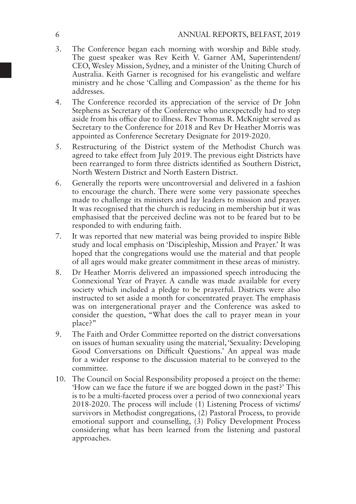- 3. The Conference began each morning with worship and Bible study. The guest speaker was Rev Keith V. Garner AM, Superintendent/ CEO, Wesley Mission, Sydney, and a minister of the Uniting Church of Australia. Keith Garner is recognised for his evangelistic and welfare ministry and he chose 'Calling and Compassion' as the theme for his addresses.
- 4. The Conference recorded its appreciation of the service of Dr John Stephens as Secretary of the Conference who unexpectedly had to step aside from his office due to illness. Rev Thomas R. McKnight served as Secretary to the Conference for 2018 and Rev Dr Heather Morris was appointed as Conference Secretary Designate for 2019-2020.
- 5. Restructuring of the District system of the Methodist Church was agreed to take effect from July 2019. The previous eight Districts have been rearranged to form three districts identified as Southern District, North Western District and North Eastern District.
- 6. Generally the reports were uncontroversial and delivered in a fashion to encourage the church. There were some very passionate speeches made to challenge its ministers and lay leaders to mission and prayer. It was recognised that the church is reducing in membership but it was emphasised that the perceived decline was not to be feared but to be responded to with enduring faith.
- 7. It was reported that new material was being provided to inspire Bible study and local emphasis on 'Discipleship, Mission and Prayer.' It was hoped that the congregations would use the material and that people of all ages would make greater commitment in these areas of ministry.
- 8. Dr Heather Morris delivered an impassioned speech introducing the Connexional Year of Prayer. A candle was made available for every society which included a pledge to be prayerful. Districts were also instructed to set aside a month for concentrated prayer. The emphasis was on intergenerational prayer and the Conference was asked to consider the question, "What does the call to prayer mean in your place?"
- 9. The Faith and Order Committee reported on the district conversations on issues of human sexuality using the material, 'Sexuality: Developing Good Conversations on Difficult Questions.' An appeal was made for a wider response to the discussion material to be conveyed to the committee.
- 10. The Council on Social Responsibility proposed a project on the theme: 'How can we face the future if we are bogged down in the past?' This is to be a multi-faceted process over a period of two connexional years 2018-2020. The process will include (1) Listening Process of victims/ survivors in Methodist congregations, (2) Pastoral Process, to provide emotional support and counselling, (3) Policy Development Process considering what has been learned from the listening and pastoral approaches.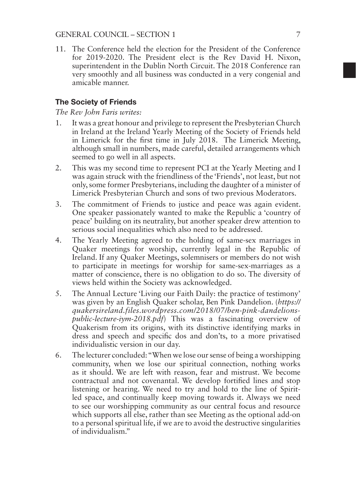11. The Conference held the election for the President of the Conference for 2019-2020. The President elect is the Rev David H. Nixon, superintendent in the Dublin North Circuit. The 2018 Conference ran very smoothly and all business was conducted in a very congenial and amicable manner.

### The Society of Friends

#### *The Rev John Faris writes:*

- 1. It was a great honour and privilege to represent the Presbyterian Church in Ireland at the Ireland Yearly Meeting of the Society of Friends held in Limerick for the first time in July 2018. The Limerick Meeting, although small in numbers, made careful, detailed arrangements which seemed to go well in all aspects.
- 2. This was my second time to represent PCI at the Yearly Meeting and I was again struck with the friendliness of the 'Friends', not least, but not only, some former Presbyterians, including the daughter of a minister of Limerick Presbyterian Church and sons of two previous Moderators.
- 3. The commitment of Friends to justice and peace was again evident. One speaker passionately wanted to make the Republic a 'country of peace' building on its neutrality, but another speaker drew attention to serious social inequalities which also need to be addressed.
- 4. The Yearly Meeting agreed to the holding of same-sex marriages in Quaker meetings for worship, currently legal in the Republic of Ireland. If any Quaker Meetings, solemnisers or members do not wish to participate in meetings for worship for same-sex-marriages as a matter of conscience, there is no obligation to do so. The diversity of views held within the Society was acknowledged.
- 5. The Annual Lecture 'Living our Faith Daily: the practice of testimony' was given by an English Quaker scholar, Ben Pink Dandelion. (*https:// quakersireland.files.wordpress.com/2018/07/ben-pink-dandelionspublic-lecture-iym-2018.pdf*) This was a fascinating overview of Quakerism from its origins, with its distinctive identifying marks in dress and speech and specific dos and don'ts, to a more privatised individualistic version in our day.
- 6. The lecturer concluded: "When we lose our sense of being a worshipping community, when we lose our spiritual connection, nothing works as it should. We are left with reason, fear and mistrust. We become contractual and not covenantal. We develop fortified lines and stop listening or hearing. We need to try and hold to the line of Spiritled space, and continually keep moving towards it. Always we need to see our worshipping community as our central focus and resource which supports all else, rather than see Meeting as the optional add-on to a personal spiritual life, if we are to avoid the destructive singularities of individualism."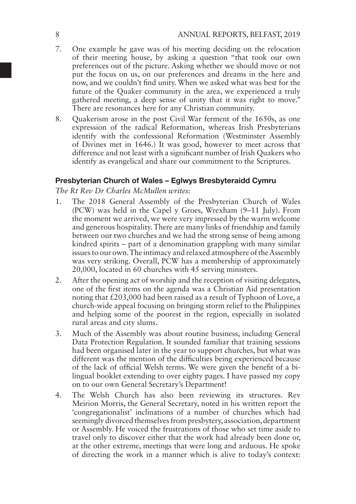- 7. One example he gave was of his meeting deciding on the relocation of their meeting house, by asking a question "that took our own preferences out of the picture. Asking whether we should move or not put the focus on us, on our preferences and dreams in the here and now, and we couldn't find unity. When we asked what was best for the future of the Quaker community in the area, we experienced a truly gathered meeting, a deep sense of unity that it was right to move." There are resonances here for any Christian community.
- 8. Quakerism arose in the post Civil War ferment of the 1650s, as one expression of the radical Reformation, whereas Irish Presbyterians identify with the confessional Reformation (Westminster Assembly of Divines met in 1646.) It was good, however to meet across that difference and not least with a significant number of Irish Quakers who identify as evangelical and share our commitment to the Scriptures.

### Presbyterian Church of Wales – Eglwys Bresbyteraidd Cymru

*The Rt Rev Dr Charles McMullen writes:*

- 1. The 2018 General Assembly of the Presbyterian Church of Wales (PCW) was held in the Capel y Groes, Wrexham (9–11 July). From the moment we arrived, we were very impressed by the warm welcome and generous hospitality. There are many links of friendship and family between our two churches and we had the strong sense of being among kindred spirits – part of a denomination grappling with many similar issues to our own. The intimacy and relaxed atmosphere of the Assembly was very striking. Overall, PCW has a membership of approximately 20,000, located in 60 churches with 45 serving ministers.
- 2. After the opening act of worship and the reception of visiting delegates, one of the first items on the agenda was a Christian Aid presentation noting that £203,000 had been raised as a result of Typhoon of Love, a church-wide appeal focusing on bringing storm relief to the Philippines and helping some of the poorest in the region, especially in isolated rural areas and city slums.
- 3. Much of the Assembly was about routine business, including General Data Protection Regulation. It sounded familiar that training sessions had been organised later in the year to support churches, but what was different was the mention of the difficulties being experienced because of the lack of official Welsh terms. We were given the benefit of a bilingual booklet extending to over eighty pages. I have passed my copy on to our own General Secretary's Department!
- 4. The Welsh Church has also been reviewing its structures. Rev Meirion Morris, the General Secretary, noted in his written report the 'congregationalist' inclinations of a number of churches which had seemingly divorced themselves from presbytery, association, department or Assembly. He voiced the frustrations of those who set time aside to travel only to discover either that the work had already been done or, at the other extreme, meetings that were long and arduous. He spoke of directing the work in a manner which is alive to today's context: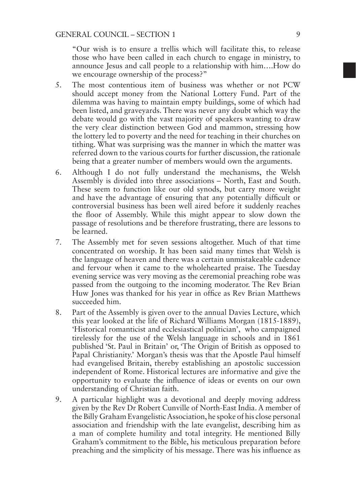"Our wish is to ensure a trellis which will facilitate this, to release those who have been called in each church to engage in ministry, to announce Jesus and call people to a relationship with him….How do we encourage ownership of the process?"

- 5. The most contentious item of business was whether or not PCW should accept money from the National Lottery Fund. Part of the dilemma was having to maintain empty buildings, some of which had been listed, and graveyards. There was never any doubt which way the debate would go with the vast majority of speakers wanting to draw the very clear distinction between God and mammon, stressing how the lottery led to poverty and the need for teaching in their churches on tithing. What was surprising was the manner in which the matter was referred down to the various courts for further discussion, the rationale being that a greater number of members would own the arguments.
- 6. Although I do not fully understand the mechanisms, the Welsh Assembly is divided into three associations – North, East and South. These seem to function like our old synods, but carry more weight and have the advantage of ensuring that any potentially difficult or controversial business has been well aired before it suddenly reaches the floor of Assembly. While this might appear to slow down the passage of resolutions and be therefore frustrating, there are lessons to be learned.
- 7. The Assembly met for seven sessions altogether. Much of that time concentrated on worship. It has been said many times that Welsh is the language of heaven and there was a certain unmistakeable cadence and fervour when it came to the wholehearted praise. The Tuesday evening service was very moving as the ceremonial preaching robe was passed from the outgoing to the incoming moderator. The Rev Brian Huw Jones was thanked for his year in office as Rev Brian Matthews succeeded him.
- 8. Part of the Assembly is given over to the annual Davies Lecture, which this year looked at the life of Richard Williams Morgan (1815-1889), 'Historical romanticist and ecclesiastical politician', who campaigned tirelessly for the use of the Welsh language in schools and in 1861 published 'St. Paul in Britain' or, 'The Origin of British as opposed to Papal Christianity.' Morgan's thesis was that the Apostle Paul himself had evangelised Britain, thereby establishing an apostolic succession independent of Rome. Historical lectures are informative and give the opportunity to evaluate the influence of ideas or events on our own understanding of Christian faith.
- 9. A particular highlight was a devotional and deeply moving address given by the Rev Dr Robert Cunville of North-East India. A member of the Billy Graham Evangelistic Association, he spoke of his close personal association and friendship with the late evangelist, describing him as a man of complete humility and total integrity. He mentioned Billy Graham's commitment to the Bible, his meticulous preparation before preaching and the simplicity of his message. There was his influence as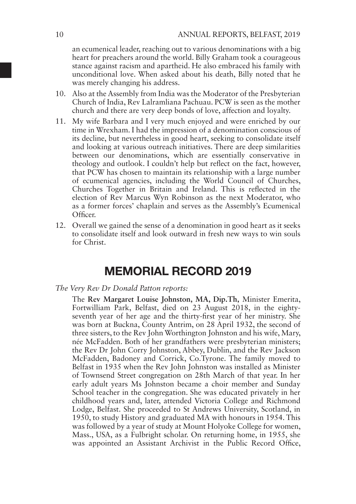an ecumenical leader, reaching out to various denominations with a big heart for preachers around the world. Billy Graham took a courageous stance against racism and apartheid. He also embraced his family with unconditional love. When asked about his death, Billy noted that he was merely changing his address.

- 10. Also at the Assembly from India was the Moderator of the Presbyterian Church of India, Rev Lalramliana Pachuau. PCW is seen as the mother church and there are very deep bonds of love, affection and loyalty.
- 11. My wife Barbara and I very much enjoyed and were enriched by our time in Wrexham. I had the impression of a denomination conscious of its decline, but nevertheless in good heart, seeking to consolidate itself and looking at various outreach initiatives. There are deep similarities between our denominations, which are essentially conservative in theology and outlook. I couldn't help but reflect on the fact, however, that PCW has chosen to maintain its relationship with a large number of ecumenical agencies, including the World Council of Churches, Churches Together in Britain and Ireland. This is reflected in the election of Rev Marcus Wyn Robinson as the next Moderator, who as a former forces' chaplain and serves as the Assembly's Ecumenical Officer.
- 12. Overall we gained the sense of a denomination in good heart as it seeks to consolidate itself and look outward in fresh new ways to win souls for Christ.

# MEMORIAL RECORD 2019

#### *The Very Rev Dr Donald Patton reports:*

The **Rev Margaret Louise Johnston, MA, Dip.Th,** Minister Emerita, Fortwilliam Park, Belfast, died on 23 August 2018, in the eightyseventh year of her age and the thirty-first year of her ministry. She was born at Buckna, County Antrim, on 28 April 1932, the second of three sisters, to the Rev John Worthington Johnston and his wife, Mary, née McFadden. Both of her grandfathers were presbyterian ministers; the Rev Dr John Corry Johnston, Abbey, Dublin, and the Rev Jackson McFadden, Badoney and Corrick, Co.Tyrone. The family moved to Belfast in 1935 when the Rev John Johnston was installed as Minister of Townsend Street congregation on 28th March of that year. In her early adult years Ms Johnston became a choir member and Sunday School teacher in the congregation. She was educated privately in her childhood years and, later, attended Victoria College and Richmond Lodge, Belfast. She proceeded to St Andrews University, Scotland, in 1950, to study History and graduated MA with honours in 1954. This was followed by a year of study at Mount Holyoke College for women, Mass., USA, as a Fulbright scholar. On returning home, in 1955, she was appointed an Assistant Archivist in the Public Record Office,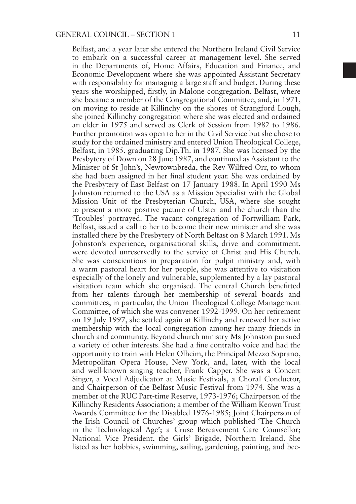Belfast, and a year later she entered the Northern Ireland Civil Service to embark on a successful career at management level. She served in the Departments of, Home Affairs, Education and Finance, and Economic Development where she was appointed Assistant Secretary with responsibility for managing a large staff and budget. During these years she worshipped, firstly, in Malone congregation, Belfast, where she became a member of the Congregational Committee, and, in 1971, on moving to reside at Killinchy on the shores of Strangford Lough, she joined Killinchy congregation where she was elected and ordained an elder in 1975 and served as Clerk of Session from 1982 to 1986. Further promotion was open to her in the Civil Service but she chose to study for the ordained ministry and entered Union Theological College, Belfast, in 1985, graduating Dip.Th. in 1987. She was licensed by the Presbytery of Down on 28 June 1987, and continued as Assistant to the Minister of St John's, Newtownbreda, the Rev Wilfred Orr, to whom she had been assigned in her final student year. She was ordained by the Presbytery of East Belfast on 17 January 1988. In April 1990 Ms Johnston returned to the USA as a Mission Specialist with the Global Mission Unit of the Presbyterian Church, USA, where she sought to present a more positive picture of Ulster and the church than the 'Troubles' portrayed. The vacant congregation of Fortwilliam Park, Belfast, issued a call to her to become their new minister and she was installed there by the Presbytery of North Belfast on 8 March 1991. Ms Johnston's experience, organisational skills, drive and commitment, were devoted unreservedly to the service of Christ and His Church. She was conscientious in preparation for pulpit ministry and, with a warm pastoral heart for her people, she was attentive to visitation especially of the lonely and vulnerable, supplemented by a lay pastoral visitation team which she organised. The central Church benefitted from her talents through her membership of several boards and committees, in particular, the Union Theological College Management Committee, of which she was convener 1992-1999. On her retirement on 19 July 1997, she settled again at Killinchy and renewed her active membership with the local congregation among her many friends in church and community. Beyond church ministry Ms Johnston pursued a variety of other interests. She had a fine contralto voice and had the opportunity to train with Helen Olheim, the Principal Mezzo Soprano, Metropolitan Opera House, New York, and, later, with the local and well-known singing teacher, Frank Capper. She was a Concert Singer, a Vocal Adjudicator at Music Festivals, a Choral Conductor, and Chairperson of the Belfast Music Festival from 1974. She was a member of the RUC Part-time Reserve, 1973-1976; Chairperson of the Killinchy Residents Association; a member of the William Keown Trust Awards Committee for the Disabled 1976-1985; Joint Chairperson of the Irish Council of Churches' group which published 'The Church in the Technological Age'; a Cruse Bereavement Care Counsellor; National Vice President, the Girls' Brigade, Northern Ireland. She listed as her hobbies, swimming, sailing, gardening, painting, and bee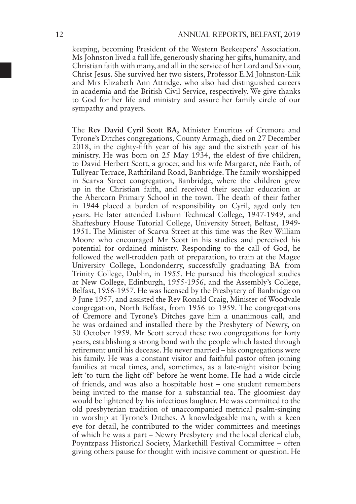keeping, becoming President of the Western Beekeepers' Association. Ms Johnston lived a full life, generously sharing her gifts, humanity, and Christian faith with many, and all in the service of her Lord and Saviour, Christ Jesus. She survived her two sisters, Professor E.M Johnston-Liik and Mrs Elizabeth Ann Attridge, who also had distinguished careers in academia and the British Civil Service, respectively. We give thanks to God for her life and ministry and assure her family circle of our sympathy and prayers.

The **Rev David Cyril Scott BA,** Minister Emeritus of Cremore and Tyrone's Ditches congregations, County Armagh, died on 27 December 2018, in the eighty-fifth year of his age and the sixtieth year of his ministry. He was born on 25 May 1934, the eldest of five children, to David Herbert Scott, a grocer, and his wife Margaret, née Faith, of Tullyear Terrace, Rathfriland Road, Banbridge. The family worshipped in Scarva Street congregation, Banbridge, where the children grew up in the Christian faith, and received their secular education at the Abercorn Primary School in the town. The death of their father in 1944 placed a burden of responsibility on Cyril, aged only ten years. He later attended Lisburn Technical College, 1947-1949, and Shaftesbury House Tutorial College, University Street, Belfast, 1949- 1951. The Minister of Scarva Street at this time was the Rev William Moore who encouraged Mr Scott in his studies and perceived his potential for ordained ministry. Responding to the call of God, he followed the well-trodden path of preparation, to train at the Magee University College, Londonderry, successfully graduating BA from Trinity College, Dublin, in 1955. He pursued his theological studies at New College, Edinburgh, 1955-1956, and the Assembly's College, Belfast, 1956-1957. He was licensed by the Presbytery of Banbridge on 9 June 1957, and assisted the Rev Ronald Craig, Minister of Woodvale congregation, North Belfast, from 1956 to 1959. The congregations of Cremore and Tyrone's Ditches gave him a unanimous call, and he was ordained and installed there by the Presbytery of Newry, on 30 October 1959. Mr Scott served these two congregations for forty years, establishing a strong bond with the people which lasted through retirement until his decease. He never married – his congregations were his family. He was a constant visitor and faithful pastor often joining families at meal times, and, sometimes, as a late-night visitor being left 'to turn the light off' before he went home. He had a wide circle of friends, and was also a hospitable host – one student remembers being invited to the manse for a substantial tea. The gloomiest day would be lightened by his infectious laughter. He was committed to the old presbyterian tradition of unaccompanied metrical psalm-singing in worship at Tyrone's Ditches. A knowledgeable man, with a keen eye for detail, he contributed to the wider committees and meetings of which he was a part – Newry Presbytery and the local clerical club, Poyntzpass Historical Society, Markethill Festival Committee – often giving others pause for thought with incisive comment or question. He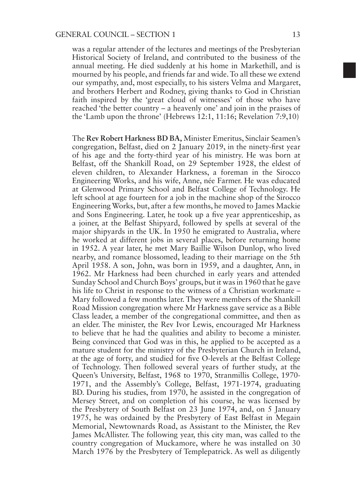was a regular attender of the lectures and meetings of the Presbyterian Historical Society of Ireland, and contributed to the business of the annual meeting. He died suddenly at his home in Markethill, and is mourned by his people, and friends far and wide. To all these we extend our sympathy, and, most especially, to his sisters Velma and Margaret, and brothers Herbert and Rodney, giving thanks to God in Christian faith inspired by the 'great cloud of witnesses' of those who have reached 'the better country – a heavenly one' and join in the praises of the 'Lamb upon the throne' (Hebrews 12:1, 11:16; Revelation 7:9,10)

The **Rev Robert Harkness BD BA,** Minister Emeritus, Sinclair Seamen's congregation, Belfast, died on 2 January 2019, in the ninety-first year of his age and the forty-third year of his ministry. He was born at Belfast, off the Shankill Road, on 29 September 1928, the eldest of eleven children, to Alexander Harkness, a foreman in the Sirocco Engineering Works, and his wife, Anne, née Farmer. He was educated at Glenwood Primary School and Belfast College of Technology. He left school at age fourteen for a job in the machine shop of the Sirocco Engineering Works, but, after a few months, he moved to James Mackie and Sons Engineering. Later, he took up a five year apprenticeship, as a joiner, at the Belfast Shipyard, followed by spells at several of the major shipyards in the UK. In 1950 he emigrated to Australia, where he worked at different jobs in several places, before returning home in 1952. A year later, he met Mary Baillie Wilson Dunlop, who lived nearby, and romance blossomed, leading to their marriage on the 5th April 1958. A son, John, was born in 1959, and a daughter, Ann, in 1962. Mr Harkness had been churched in early years and attended Sunday School and Church Boys' groups, but it was in 1960 that he gave his life to Christ in response to the witness of a Christian workmate – Mary followed a few months later. They were members of the Shankill Road Mission congregation where Mr Harkness gave service as a Bible Class leader, a member of the congregational committee, and then as an elder. The minister, the Rev Ivor Lewis, encouraged Mr Harkness to believe that he had the qualities and ability to become a minister. Being convinced that God was in this, he applied to be accepted as a mature student for the ministry of the Presbyterian Church in Ireland, at the age of forty, and studied for five O-levels at the Belfast College of Technology. Then followed several years of further study, at the Queen's University, Belfast, 1968 to 1970, Stranmillis College, 1970- 1971, and the Assembly's College, Belfast, 1971-1974, graduating BD. During his studies, from 1970, he assisted in the congregation of Mersey Street, and on completion of his course, he was licensed by the Presbytery of South Belfast on 23 June 1974, and, on 5 January 1975, he was ordained by the Presbytery of East Belfast in Megain Memorial, Newtownards Road, as Assistant to the Minister, the Rev James McAllister. The following year, this city man, was called to the country congregation of Muckamore, where he was installed on 30 March 1976 by the Presbytery of Templepatrick. As well as diligently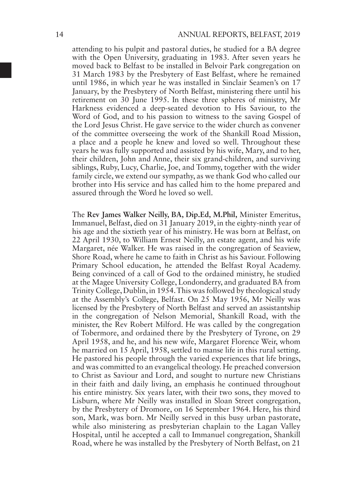attending to his pulpit and pastoral duties, he studied for a BA degree with the Open University, graduating in 1983. After seven years he moved back to Belfast to be installed in Belvoir Park congregation on 31 March 1983 by the Presbytery of East Belfast, where he remained until 1986, in which year he was installed in Sinclair Seamen's on 17 January, by the Presbytery of North Belfast, ministering there until his retirement on 30 June 1995. In these three spheres of ministry, Mr Harkness evidenced a deep-seated devotion to His Saviour, to the Word of God, and to his passion to witness to the saving Gospel of the Lord Jesus Christ. He gave service to the wider church as convener of the committee overseeing the work of the Shankill Road Mission, a place and a people he knew and loved so well. Throughout these years he was fully supported and assisted by his wife, Mary, and to her, their children, John and Anne, their six grand-children, and surviving siblings, Ruby, Lucy, Charlie, Joe, and Tommy, together with the wider family circle, we extend our sympathy, as we thank God who called our brother into His service and has called him to the home prepared and assured through the Word he loved so well.

The **Rev James Walker Neilly, BA, Dip.Ed, M.Phil,** Minister Emeritus, Immanuel, Belfast, died on 31 January 2019, in the eighty-ninth year of his age and the sixtieth year of his ministry. He was born at Belfast, on 22 April 1930, to William Ernest Neilly, an estate agent, and his wife Margaret, née Walker. He was raised in the congregation of Seaview, Shore Road, where he came to faith in Christ as his Saviour. Following Primary School education, he attended the Belfast Royal Academy. Being convinced of a call of God to the ordained ministry, he studied at the Magee University College, Londonderry, and graduated BA from Trinity College, Dublin, in 1954. This was followed by theological study at the Assembly's College, Belfast. On 25 May 1956, Mr Neilly was licensed by the Presbytery of North Belfast and served an assistantship in the congregation of Nelson Memorial, Shankill Road, with the minister, the Rev Robert Milford. He was called by the congregation of Tobermore, and ordained there by the Presbytery of Tyrone, on 29 April 1958, and he, and his new wife, Margaret Florence Weir, whom he married on 15 April, 1958, settled to manse life in this rural setting. He pastored his people through the varied experiences that life brings, and was committed to an evangelical theology. He preached conversion to Christ as Saviour and Lord, and sought to nurture new Christians in their faith and daily living, an emphasis he continued throughout his entire ministry. Six years later, with their two sons, they moved to Lisburn, where Mr Neilly was installed in Sloan Street congregation, by the Presbytery of Dromore, on 16 September 1964. Here, his third son, Mark, was born. Mr Neilly served in this busy urban pastorate, while also ministering as presbyterian chaplain to the Lagan Valley Hospital, until he accepted a call to Immanuel congregation, Shankill Road, where he was installed by the Presbytery of North Belfast, on 21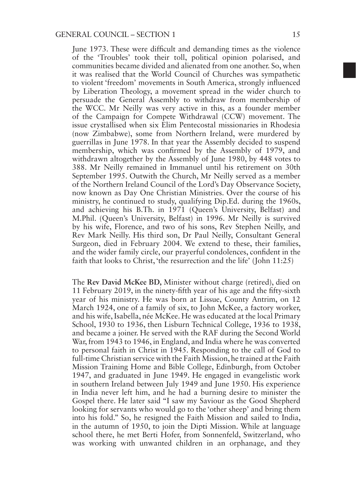June 1973. These were difficult and demanding times as the violence of the 'Troubles' took their toll, political opinion polarised, and communities became divided and alienated from one another. So, when it was realised that the World Council of Churches was sympathetic to violent 'freedom' movements in South America, strongly influenced by Liberation Theology, a movement spread in the wider church to persuade the General Assembly to withdraw from membership of the WCC. Mr Neilly was very active in this, as a founder member of the Campaign for Compete Withdrawal (CCW) movement. The issue crystallised when six Elim Pentecostal missionaries in Rhodesia (now Zimbabwe), some from Northern Ireland, were murdered by guerrillas in June 1978. In that year the Assembly decided to suspend membership, which was confirmed by the Assembly of 1979, and withdrawn altogether by the Assembly of June 1980, by 448 votes to 388. Mr Neilly remained in Immanuel until his retirement on 30th September 1995. Outwith the Church, Mr Neilly served as a member of the Northern Ireland Council of the Lord's Day Observance Society, now known as Day One Christian Ministries. Over the course of his ministry, he continued to study, qualifying Dip.Ed. during the 1960s, and achieving his B.Th. in 1971 (Queen's University, Belfast) and M.Phil. (Queen's University, Belfast) in 1996. Mr Neilly is survived by his wife, Florence, and two of his sons, Rev Stephen Neilly, and Rev Mark Neilly. His third son, Dr Paul Neilly, Consultant General Surgeon, died in February 2004. We extend to these, their families, and the wider family circle, our prayerful condolences, confident in the faith that looks to Christ, 'the resurrection and the life' (John 11:25)

The **Rev David McKee BD,** Minister without charge (retired), died on 11 February 2019, in the ninety-fifth year of his age and the fifty-sixth year of his ministry. He was born at Lissue, County Antrim, on 12 March 1924, one of a family of six, to John McKee, a factory worker, and his wife, Isabella, née McKee. He was educated at the local Primary School, 1930 to 1936, then Lisburn Technical College, 1936 to 1938. and became a joiner. He served with the RAF during the Second World War, from 1943 to 1946, in England, and India where he was converted to personal faith in Christ in 1945. Responding to the call of God to full-time Christian service with the Faith Mission, he trained at the Faith Mission Training Home and Bible College, Edinburgh, from October 1947, and graduated in June 1949. He engaged in evangelistic work in southern Ireland between July 1949 and June 1950. His experience in India never left him, and he had a burning desire to minister the Gospel there. He later said "I saw my Saviour as the Good Shepherd looking for servants who would go to the 'other sheep' and bring them into his fold." So, he resigned the Faith Mission and sailed to India, in the autumn of 1950, to join the Dipti Mission. While at language school there, he met Berti Hofer, from Sonnenfeld, Switzerland, who was working with unwanted children in an orphanage, and they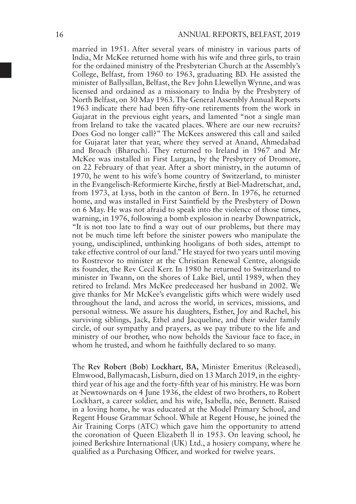married in 1951. After several years of ministry in various parts of India, Mr McKee returned home with his wife and three girls, to train for the ordained ministry of the Presbyterian Church at the Assembly's College, Belfast, from 1960 to 1963, graduating BD. He assisted the minister of Ballysillan, Belfast, the Rev John Llewellyn Wynne, and was licensed and ordained as a missionary to India by the Presbytery of North Belfast, on 30 May 1963. The General Assembly Annual Reports 1963 indicate there had been fifty-one retirements from the work in Gujarat in the previous eight years, and lamented "not a single man from Ireland to take the vacated places. Where are our new recruits? Does God no longer call?" The McKees answered this call and sailed for Gujarat later that year, where they served at Anand, Ahmedabad and Broach (Bharuch). They returned to Ireland in 1967 and Mr McKee was installed in First Lurgan, by the Presbytery of Dromore, on 22 February of that year. After a short ministry, in the autumn of 1970, he went to his wife's home country of Switzerland, to minister in the Evangelisch-Reformierte Kirche, firstly at Biel-Madretschat, and, from 1973, at Lyss, both in the canton of Bern. In 1976, he returned home, and was installed in First Saintfield by the Presbytery of Down on 6 May. He was not afraid to speak into the violence of those times, warning, in 1976, following a bomb explosion in nearby Downpatrick, "It is not too late to find a way out of our problems, but there may not be much time left before the sinister powers who manipulate the young, undisciplined, unthinking hooligans of both sides, attempt to take effective control of our land." He stayed for two years until moving to Rostrevor to minister at the Christian Renewal Centre, alongside its founder, the Rev Cecil Kerr. In 1980 he returned to Switzerland to minister in Twann, on the shores of Lake Biel, until 1989, when they retired to Ireland. Mrs McKee predeceased her husband in 2002. We give thanks for Mr McKee's evangelistic gifts which were widely used throughout the land, and across the world, in services, missions, and personal witness. We assure his daughters, Esther, Joy and Rachel, his surviving siblings, Jack, Ethel and Jacqueline, and their wider family circle, of our sympathy and prayers, as we pay tribute to the life and ministry of our brother, who now beholds the Saviour face to face, in whom he trusted, and whom he faithfully declared to so many.

The **Rev Robert (Bob) Lockhart, BA,** Minister Emeritus (Released), Elmwood, Ballymacash, Lisburn, died on 13 March 2019, in the eightythird year of his age and the forty-fifth year of his ministry. He was born at Newtownards on 4 June 1936, the eldest of two brothers, to Robert Lockhart, a career soldier, and his wife, Isabella, née, Bennett. Raised in a loving home, he was educated at the Model Primary School, and Regent House Grammar School. While at Regent House, he joined the Air Training Corps (ATC) which gave him the opportunity to attend the coronation of Queen Elizabeth ll in 1953. On leaving school, he joined Berkshire International (UK) Ltd., a hosiery company, where he qualified as a Purchasing Officer, and worked for twelve years.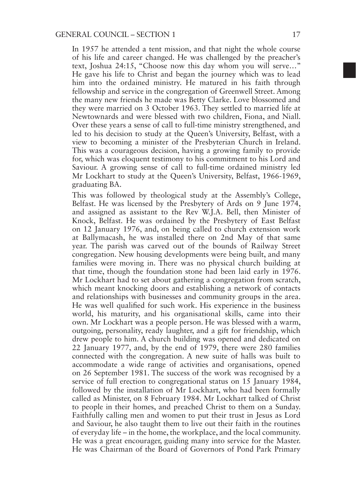In 1957 he attended a tent mission, and that night the whole course of his life and career changed. He was challenged by the preacher's text, Joshua 24:15, "Choose now this day whom you will serve…" He gave his life to Christ and began the journey which was to lead him into the ordained ministry. He matured in his faith through fellowship and service in the congregation of Greenwell Street. Among the many new friends he made was Betty Clarke. Love blossomed and they were married on 3 October 1963. They settled to married life at Newtownards and were blessed with two children, Fiona, and Niall. Over these years a sense of call to full-time ministry strengthened, and led to his decision to study at the Queen's University, Belfast, with a view to becoming a minister of the Presbyterian Church in Ireland. This was a courageous decision, having a growing family to provide for, which was eloquent testimony to his commitment to his Lord and Saviour. A growing sense of call to full-time ordained ministry led Mr Lockhart to study at the Queen's University, Belfast, 1966-1969, graduating BA.

This was followed by theological study at the Assembly's College, Belfast. He was licensed by the Presbytery of Ards on 9 June 1974, and assigned as assistant to the Rev W.J.A. Bell, then Minister of Knock, Belfast. He was ordained by the Presbytery of East Belfast on 12 January 1976, and, on being called to church extension work at Ballymacash, he was installed there on 2nd May of that same year. The parish was carved out of the bounds of Railway Street congregation. New housing developments were being built, and many families were moving in. There was no physical church building at that time, though the foundation stone had been laid early in 1976. Mr Lockhart had to set about gathering a congregation from scratch, which meant knocking doors and establishing a network of contacts and relationships with businesses and community groups in the area. He was well qualified for such work. His experience in the business world, his maturity, and his organisational skills, came into their own. Mr Lockhart was a people person. He was blessed with a warm, outgoing, personality, ready laughter, and a gift for friendship, which drew people to him. A church building was opened and dedicated on 22 January 1977, and, by the end of 1979, there were 280 families connected with the congregation. A new suite of halls was built to accommodate a wide range of activities and organisations, opened on 26 September 1981. The success of the work was recognised by a service of full erection to congregational status on 15 January 1984, followed by the installation of Mr Lockhart, who had been formally called as Minister, on 8 February 1984. Mr Lockhart talked of Christ to people in their homes, and preached Christ to them on a Sunday. Faithfully calling men and women to put their trust in Jesus as Lord and Saviour, he also taught them to live out their faith in the routines of everyday life – in the home, the workplace, and the local community. He was a great encourager, guiding many into service for the Master. He was Chairman of the Board of Governors of Pond Park Primary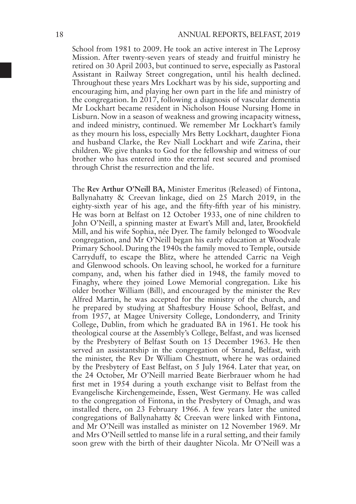School from 1981 to 2009. He took an active interest in The Leprosy Mission. After twenty-seven years of steady and fruitful ministry he retired on 30 April 2003, but continued to serve, especially as Pastoral Assistant in Railway Street congregation, until his health declined. Throughout these years Mrs Lockhart was by his side, supporting and encouraging him, and playing her own part in the life and ministry of the congregation. In 2017, following a diagnosis of vascular dementia Mr Lockhart became resident in Nicholson House Nursing Home in Lisburn. Now in a season of weakness and growing incapacity witness, and indeed ministry, continued. We remember Mr Lockhart's family as they mourn his loss, especially Mrs Betty Lockhart, daughter Fiona and husband Clarke, the Rev Niall Lockhart and wife Zarina, their children. We give thanks to God for the fellowship and witness of our brother who has entered into the eternal rest secured and promised through Christ the resurrection and the life.

The **Rev Arthur O'Neill BA,** Minister Emeritus (Released) of Fintona, Ballynahatty & Creevan linkage, died on 25 March 2019, in the eighty-sixth year of his age, and the fifty-fifth year of his ministry. He was born at Belfast on 12 October 1933, one of nine children to John O'Neill, a spinning master at Ewart's Mill and, later, Brookfield Mill, and his wife Sophia, née Dyer. The family belonged to Woodvale congregation, and Mr O'Neill began his early education at Woodvale Primary School. During the 1940s the family moved to Temple, outside Carryduff, to escape the Blitz, where he attended Carric na Veigh and Glenwood schools. On leaving school, he worked for a furniture company, and, when his father died in 1948, the family moved to Finaghy, where they joined Lowe Memorial congregation. Like his older brother William (Bill), and encouraged by the minister the Rev Alfred Martin, he was accepted for the ministry of the church, and he prepared by studying at Shaftesbury House School, Belfast, and from 1957, at Magee University College, Londonderry, and Trinity College, Dublin, from which he graduated BA in 1961. He took his theological course at the Assembly's College, Belfast, and was licensed by the Presbytery of Belfast South on 15 December 1963. He then served an assistantship in the congregation of Strand, Belfast, with the minister, the Rev Dr William Chestnutt, where he was ordained by the Presbytery of East Belfast, on 5 July 1964. Later that year, on the 24 October, Mr O'Neill married Beate Bierbrauer whom he had first met in 1954 during a youth exchange visit to Belfast from the Evangelische Kirchengemeinde, Essen, West Germany. He was called to the congregation of Fintona, in the Presbytery of Omagh, and was installed there, on 23 February 1966. A few years later the united congregations of Ballynahatty & Creevan were linked with Fintona, and Mr O'Neill was installed as minister on 12 November 1969. Mr and Mrs O'Neill settled to manse life in a rural setting, and their family soon grew with the birth of their daughter Nicola. Mr O'Neill was a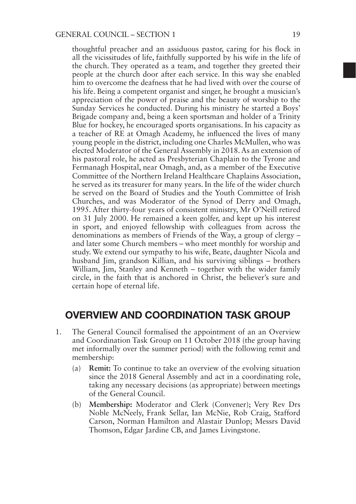thoughtful preacher and an assiduous pastor, caring for his flock in all the vicissitudes of life, faithfully supported by his wife in the life of the church. They operated as a team, and together they greeted their people at the church door after each service. In this way she enabled him to overcome the deafness that he had lived with over the course of his life. Being a competent organist and singer, he brought a musician's appreciation of the power of praise and the beauty of worship to the Sunday Services he conducted. During his ministry he started a Boys' Brigade company and, being a keen sportsman and holder of a Trinity Blue for hockey, he encouraged sports organisations. In his capacity as a teacher of RE at Omagh Academy, he influenced the lives of many young people in the district, including one Charles McMullen, who was elected Moderator of the General Assembly in 2018. As an extension of his pastoral role, he acted as Presbyterian Chaplain to the Tyrone and Fermanagh Hospital, near Omagh, and, as a member of the Executive Committee of the Northern Ireland Healthcare Chaplains Association, he served as its treasurer for many years. In the life of the wider church he served on the Board of Studies and the Youth Committee of Irish Churches, and was Moderator of the Synod of Derry and Omagh, 1995. After thirty-four years of consistent ministry, Mr O'Neill retired on 31 July 2000. He remained a keen golfer, and kept up his interest in sport, and enjoyed fellowship with colleagues from across the denominations as members of Friends of the Way, a group of clergy – and later some Church members – who meet monthly for worship and study. We extend our sympathy to his wife, Beate, daughter Nicola and husband Jim, grandson Killian, and his surviving siblings – brothers William, Jim, Stanley and Kenneth – together with the wider family circle, in the faith that is anchored in Christ, the believer's sure and certain hope of eternal life.

### OVERVIEW AND COORDINATION TASK GROUP

- 1. The General Council formalised the appointment of an an Overview and Coordination Task Group on 11 October 2018 (the group having met informally over the summer period) with the following remit and membership:
	- (a) **Remit:** To continue to take an overview of the evolving situation since the 2018 General Assembly and act in a coordinating role, taking any necessary decisions (as appropriate) between meetings of the General Council.
	- (b) **Membership:** Moderator and Clerk (Convener); Very Rev Drs Noble McNeely, Frank Sellar, Ian McNie, Rob Craig, Stafford Carson, Norman Hamilton and Alastair Dunlop; Messrs David Thomson, Edgar Jardine CB, and James Livingstone.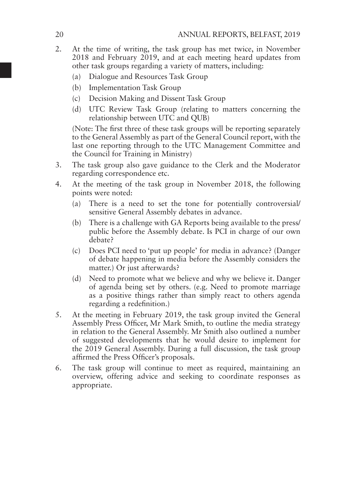- 2. At the time of writing, the task group has met twice, in November  $2018$  and February  $2019$ , and at each meeting heard updates from other task groups regarding a variety of matters, including:
	- (a) Dialogue and Resources Task Group
	- (b) Implementation Task Group
	- (c) Decision Making and Dissent Task Group
	- (d) UTC Review Task Group (relating to matters concerning the relationship between UTC and QUB)

(Note: The first three of these task groups will be reporting separately to the General Assembly as part of the General Council report, with the last one reporting through to the UTC Management Committee and the Council for Training in Ministry)

- 3. The task group also gave guidance to the Clerk and the Moderator regarding correspondence etc.
- 4. At the meeting of the task group in November 2018, the following points were noted:
	- (a) There is a need to set the tone for potentially controversial/ sensitive General Assembly debates in advance.
	- (b) There is a challenge with GA Reports being available to the press/ public before the Assembly debate. Is PCI in charge of our own debate?
	- (c) Does PCI need to 'put up people' for media in advance? (Danger of debate happening in media before the Assembly considers the matter.) Or just afterwards?
	- (d) Need to promote what we believe and why we believe it. Danger of agenda being set by others. (e.g. Need to promote marriage as a positive things rather than simply react to others agenda regarding a redefinition.)
- 5. At the meeting in February 2019, the task group invited the General Assembly Press Officer, Mr Mark Smith, to outline the media strategy in relation to the General Assembly. Mr Smith also outlined a number of suggested developments that he would desire to implement for the 2019 General Assembly. During a full discussion, the task group affirmed the Press Officer's proposals.
- 6. The task group will continue to meet as required, maintaining an overview, offering advice and seeking to coordinate responses as appropriate.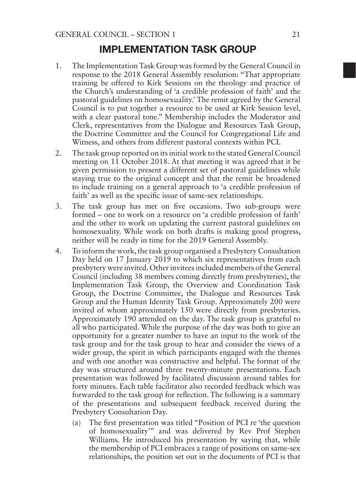### IMPLEMENTATION TASK GROUP

- 1. The Implementation Task Group was formed by the General Council in response to the 2018 General Assembly resolution: "That appropriate training be offered to Kirk Sessions on the theology and practice of the Church's understanding of 'a credible profession of faith' and the pastoral guidelines on homosexuality.' The remit agreed by the General Council is to put together a resource to be used at Kirk Session level, with a clear pastoral tone." Membership includes the Moderator and Clerk, representatives from the Dialogue and Resources Task Group, the Doctrine Committee and the Council for Congregational Life and Witness, and others from different pastoral contexts within PCI.
- 2. The task group reported on its initial work to the stated General Council meeting on 11 October 2018. At that meeting it was agreed that it be given permission to present a different set of pastoral guidelines while staying true to the original concept and that the remit be broadened to include training on a general approach to 'a credible profession of faith' as well as the specific issue of same-sex relationships.
- 3. The task group has met on five occasions. Two sub-groups were formed – one to work on a resource on 'a credible profession of faith' and the other to work on updating the current pastoral guidelines on homosexuality. While work on both drafts is making good progress, neither will be ready in time for the 2019 General Assembly.
- 4. To inform the work, the task group organised a Presbytery Consultation Day held on 17 January 2019 to which six representatives from each presbytery were invited. Other invitees included members of the General Council (including 38 members coming directly from presbyteries), the Implementation Task Group, the Overview and Coordination Task Group, the Doctrine Committee, the Dialogue and Resources Task Group and the Human Identity Task Group. Approximately 200 were invited of whom approximately 150 were directly from presbyteries. Approximately 190 attended on the day. The task group is grateful to all who participated. While the purpose of the day was both to give an opportunity for a greater number to have an input to the work of the task group and for the task group to hear and consider the views of a wider group, the spirit in which participants engaged with the themes and with one another was constructive and helpful. The format of the day was structured around three twenty-minute presentations. Each presentation was followed by facilitated discussion around tables for forty minutes. Each table facilitator also recorded feedback which was forwarded to the task group for reflection. The following is a summary of the presentations and subsequent feedback received during the Presbytery Consultation Day.
	- (a) The first presentation was titled "Position of PCI re 'the question of homosexuality'" and was delivered by Rev Prof Stephen Williams. He introduced his presentation by saying that, while the membership of PCI embraces a range of positions on same-sex relationships, the position set out in the documents of PCI is that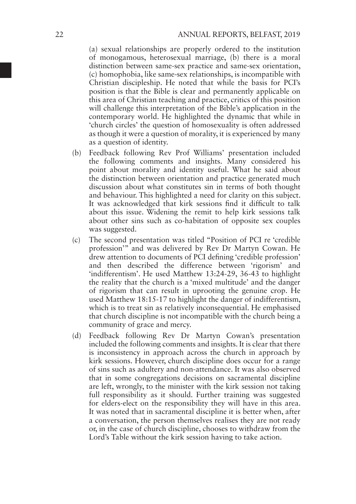(a) sexual relationships are properly ordered to the institution of monogamous, heterosexual marriage, (b) there is a moral distinction between same-sex practice and same-sex orientation, (c) homophobia, like same-sex relationships, is incompatible with Christian discipleship. He noted that while the basis for PCI's position is that the Bible is clear and permanently applicable on this area of Christian teaching and practice, critics of this position will challenge this interpretation of the Bible's application in the contemporary world. He highlighted the dynamic that while in 'church circles' the question of homosexuality is often addressed as though it were a question of morality, it is experienced by many as a question of identity.

- (b) Feedback following Rev Prof Williams' presentation included the following comments and insights. Many considered his point about morality and identity useful. What he said about the distinction between orientation and practice generated much discussion about what constitutes sin in terms of both thought and behaviour. This highlighted a need for clarity on this subject. It was acknowledged that kirk sessions find it difficult to talk about this issue. Widening the remit to help kirk sessions talk about other sins such as co-habitation of opposite sex couples was suggested.
- (c) The second presentation was titled "Position of PCI re 'credible profession'" and was delivered by Rev Dr Martyn Cowan. He drew attention to documents of PCI defining 'credible profession' and then described the difference between 'rigorism' and 'indifferentism'. He used Matthew 13:24-29, 36-43 to highlight the reality that the church is a 'mixed multitude' and the danger of rigorism that can result in uprooting the genuine crop. He used Matthew 18:15-17 to highlight the danger of indifferentism, which is to treat sin as relatively inconsequential. He emphasised that church discipline is not incompatible with the church being a community of grace and mercy.
- (d) Feedback following Rev Dr Martyn Cowan's presentation included the following comments and insights. It is clear that there is inconsistency in approach across the church in approach by kirk sessions. However, church discipline does occur for a range of sins such as adultery and non-attendance. It was also observed that in some congregations decisions on sacramental discipline are left, wrongly, to the minister with the kirk session not taking full responsibility as it should. Further training was suggested for elders-elect on the responsibility they will have in this area. It was noted that in sacramental discipline it is better when, after a conversation, the person themselves realises they are not ready or, in the case of church discipline, chooses to withdraw from the Lord's Table without the kirk session having to take action.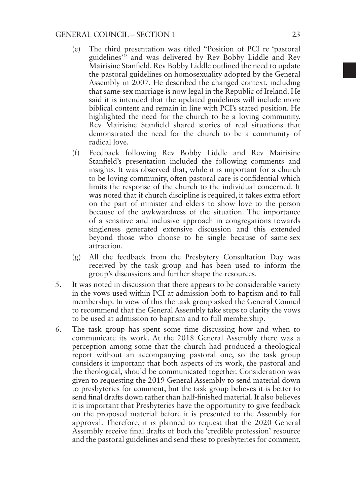- (e) The third presentation was titled "Position of PCI re 'pastoral guidelines'" and was delivered by Rev Bobby Liddle and Rev Mairisine Stanfield. Rev Bobby Liddle outlined the need to update the pastoral guidelines on homosexuality adopted by the General Assembly in 2007. He described the changed context, including that same-sex marriage is now legal in the Republic of Ireland. He said it is intended that the updated guidelines will include more biblical content and remain in line with PCI's stated position. He highlighted the need for the church to be a loving community. Rev Mairisine Stanfield shared stories of real situations that demonstrated the need for the church to be a community of radical love.
- (f) Feedback following Rev Bobby Liddle and Rev Mairisine Stanfield's presentation included the following comments and insights. It was observed that, while it is important for a church to be loving community, often pastoral care is confidential which limits the response of the church to the individual concerned. It was noted that if church discipline is required, it takes extra effort on the part of minister and elders to show love to the person because of the awkwardness of the situation. The importance of a sensitive and inclusive approach in congregations towards singleness generated extensive discussion and this extended beyond those who choose to be single because of same-sex attraction.
- (g) All the feedback from the Presbytery Consultation Day was received by the task group and has been used to inform the group's discussions and further shape the resources.
- 5. It was noted in discussion that there appears to be considerable variety in the vows used within PCI at admission both to baptism and to full membership. In view of this the task group asked the General Council to recommend that the General Assembly take steps to clarify the vows to be used at admission to baptism and to full membership.
- 6. The task group has spent some time discussing how and when to communicate its work. At the 2018 General Assembly there was a perception among some that the church had produced a theological report without an accompanying pastoral one, so the task group considers it important that both aspects of its work, the pastoral and the theological, should be communicated together. Consideration was given to requesting the 2019 General Assembly to send material down to presbyteries for comment, but the task group believes it is better to send final drafts down rather than half-finished material. It also believes it is important that Presbyteries have the opportunity to give feedback on the proposed material before it is presented to the Assembly for approval. Therefore, it is planned to request that the 2020 General Assembly receive final drafts of both the 'credible profession' resource and the pastoral guidelines and send these to presbyteries for comment,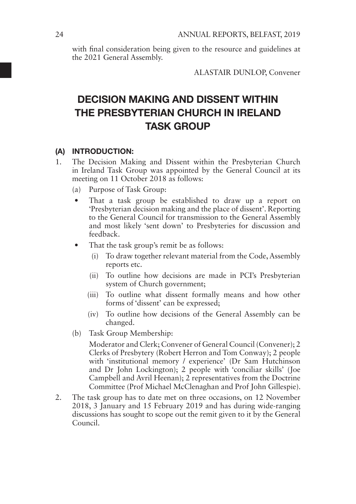with final consideration being given to the resource and guidelines at the 2021 General Assembly.

ALASTAIR DUNLOP, Convener

# DECISION MAKING AND DISSENT WITHIN THE PRESBYTERIAN CHURCH IN IRELAND TASK GROUP

#### (A) INTRODUCTION:

- 1. The Decision Making and Dissent within the Presbyterian Church in Ireland Task Group was appointed by the General Council at its meeting on 11 October 2018 as follows:
	- (a) Purpose of Task Group:
	- That a task group be established to draw up a report on 'Presbyterian decision making and the place of dissent'. Reporting to the General Council for transmission to the General Assembly and most likely 'sent down' to Presbyteries for discussion and feedback.
	- That the task group's remit be as follows:
		- (i) To draw together relevant material from the Code, Assembly reports etc.
		- (ii) To outline how decisions are made in PCI's Presbyterian system of Church government;
		- (iii) To outline what dissent formally means and how other forms of 'dissent' can be expressed;
		- (iv) To outline how decisions of the General Assembly can be changed.
	- (b) Task Group Membership:

Moderator and Clerk; Convener of General Council (Convener); 2 Clerks of Presbytery (Robert Herron and Tom Conway); 2 people with 'institutional memory / experience' (Dr Sam Hutchinson and Dr John Lockington); 2 people with 'conciliar skills' (Joe Campbell and Avril Heenan); 2 representatives from the Doctrine Committee (Prof Michael McClenaghan and Prof John Gillespie).

2. The task group has to date met on three occasions, on 12 November 2018, 3 January and 15 February 2019 and has during wide-ranging discussions has sought to scope out the remit given to it by the General Council.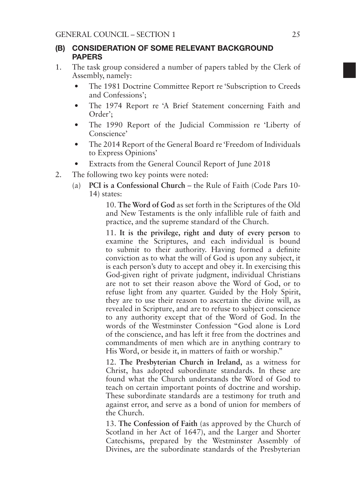### (B) CONSIDERATION OF SOME RELEVANT BACKGROUND PAPERS

- 1. The task group considered a number of papers tabled by the Clerk of Assembly, namely:
	- The 1981 Doctrine Committee Report re 'Subscription to Creeds and Confessions';
	- The 1974 Report re 'A Brief Statement concerning Faith and Order';
	- The 1990 Report of the Judicial Commission re 'Liberty of Conscience'
	- The 2014 Report of the General Board re 'Freedom of Individuals to Express Opinions'
	- Extracts from the General Council Report of June 2018
- 2. The following two key points were noted:
	- (a) **PCI is a Confessional Church** the Rule of Faith (Code Pars 10- 14) states:

 10. **The Word of God** as set forth in the Scriptures of the Old and New Testaments is the only infallible rule of faith and practice, and the supreme standard of the Church.

 11. **It is the privilege, right and duty of every person** to examine the Scriptures, and each individual is bound to submit to their authority. Having formed a definite conviction as to what the will of God is upon any subject, it is each person's duty to accept and obey it. In exercising this God-given right of private judgment, individual Christians are not to set their reason above the Word of God, or to refuse light from any quarter. Guided by the Holy Spirit, they are to use their reason to ascertain the divine will, as revealed in Scripture, and are to refuse to subject conscience to any authority except that of the Word of God. In the words of the Westminster Confession "God alone is Lord of the conscience, and has left it free from the doctrines and commandments of men which are in anything contrary to His Word, or beside it, in matters of faith or worship."

 12. **The Presbyterian Church in Ireland,** as a witness for Christ, has adopted subordinate standards. In these are found what the Church understands the Word of God to teach on certain important points of doctrine and worship. These subordinate standards are a testimony for truth and against error, and serve as a bond of union for members of the Church.

 13. **The Confession of Faith** (as approved by the Church of Scotland in her Act of 1647), and the Larger and Shorter Catechisms, prepared by the Westminster Assembly of Divines, are the subordinate standards of the Presbyterian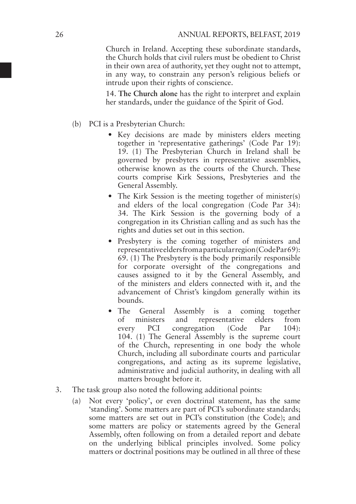Church in Ireland. Accepting these subordinate standards, the Church holds that civil rulers must be obedient to Christ in their own area of authority, yet they ought not to attempt, in any way, to constrain any person's religious beliefs or intrude upon their rights of conscience.

 14. **The Church alone** has the right to interpret and explain her standards, under the guidance of the Spirit of God.

- (b) PCI is a Presbyterian Church:
	- Key decisions are made by ministers elders meeting together in 'representative gatherings' (Code Par 19): 19. (1) The Presbyterian Church in Ireland shall be governed by presbyters in representative assemblies, otherwise known as the courts of the Church. These courts comprise Kirk Sessions, Presbyteries and the General Assembly.
	- The Kirk Session is the meeting together of minister(s) and elders of the local congregation (Code Par 34): 34. The Kirk Session is the governing body of a congregation in its Christian calling and as such has the rights and duties set out in this section.
	- Presbytery is the coming together of ministers and representative elders from a particular region (Code Par 69): 69. (1) The Presbytery is the body primarily responsible for corporate oversight of the congregations and causes assigned to it by the General Assembly, and of the ministers and elders connected with it, and the advancement of Christ's kingdom generally within its bounds.
	- The General Assembly is a coming together of ministers and representative elders from every PCI congregation (Code Par 104): 104. (1) The General Assembly is the supreme court of the Church, representing in one body the whole Church, including all subordinate courts and particular congregations, and acting as its supreme legislative, administrative and judicial authority, in dealing with all matters brought before it.
- 3. The task group also noted the following additional points:
	- (a) Not every 'policy', or even doctrinal statement, has the same 'standing'. Some matters are part of PCI's subordinate standards; some matters are set out in PCI's constitution (the Code); and some matters are policy or statements agreed by the General Assembly, often following on from a detailed report and debate on the underlying biblical principles involved. Some policy matters or doctrinal positions may be outlined in all three of these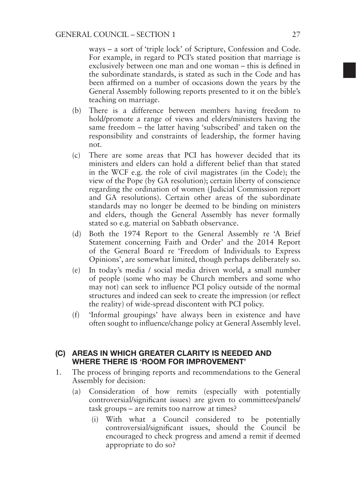ways – a sort of 'triple lock' of Scripture, Confession and Code. For example, in regard to PCI's stated position that marriage is exclusively between one man and one woman – this is defined in the subordinate standards, is stated as such in the Code and has been affirmed on a number of occasions down the years by the General Assembly following reports presented to it on the bible's teaching on marriage.

- (b) There is a difference between members having freedom to hold/promote a range of views and elders/ministers having the same freedom – the latter having 'subscribed' and taken on the responsibility and constraints of leadership, the former having not.
- (c) There are some areas that PCI has however decided that its ministers and elders can hold a different belief than that stated in the WCF e.g. the role of civil magistrates (in the Code); the view of the Pope (by GA resolution); certain liberty of conscience regarding the ordination of women (Judicial Commission report and GA resolutions). Certain other areas of the subordinate standards may no longer be deemed to be binding on ministers and elders, though the General Assembly has never formally stated so e.g. material on Sabbath observance.
- (d) Both the 1974 Report to the General Assembly re 'A Brief Statement concerning Faith and Order' and the 2014 Report of the General Board re 'Freedom of Individuals to Express Opinions', are somewhat limited, though perhaps deliberately so.
- (e) In today's media / social media driven world, a small number of people (some who may be Church members and some who may not) can seek to influence PCI policy outside of the normal structures and indeed can seek to create the impression (or reflect the reality) of wide-spread discontent with PCI policy.
- (f) 'Informal groupings' have always been in existence and have often sought to influence/change policy at General Assembly level.

### (C) AREAS IN WHICH GREATER CLARITY IS NEEDED AND WHERE THERE IS 'ROOM FOR IMPROVEMENT'

- 1. The process of bringing reports and recommendations to the General Assembly for decision:
	- (a) Consideration of how remits (especially with potentially controversial/significant issues) are given to committees/panels/ task groups – are remits too narrow at times?
		- (i) With what a Council considered to be potentially controversial/significant issues, should the Council be encouraged to check progress and amend a remit if deemed appropriate to do so?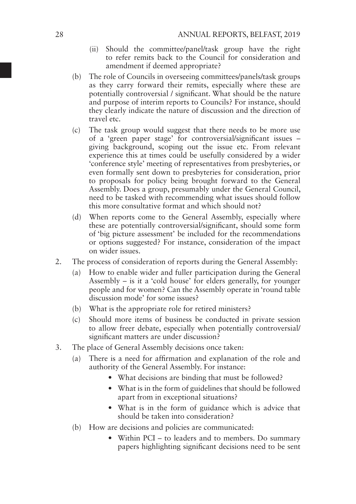- (ii) Should the committee/panel/task group have the right to refer remits back to the Council for consideration and amendment if deemed appropriate?
- (b) The role of Councils in overseeing committees/panels/task groups as they carry forward their remits, especially where these are potentially controversial / significant. What should be the nature and purpose of interim reports to Councils? For instance, should they clearly indicate the nature of discussion and the direction of travel etc.
- (c) The task group would suggest that there needs to be more use of a 'green paper stage' for controversial/significant issues – giving background, scoping out the issue etc. From relevant experience this at times could be usefully considered by a wider 'conference style' meeting of representatives from presbyteries, or even formally sent down to presbyteries for consideration, prior to proposals for policy being brought forward to the General Assembly. Does a group, presumably under the General Council, need to be tasked with recommending what issues should follow this more consultative format and which should not?
- (d) When reports come to the General Assembly, especially where these are potentially controversial/significant, should some form of 'big picture assessment' be included for the recommendations or options suggested? For instance, consideration of the impact on wider issues.
- 2. The process of consideration of reports during the General Assembly:
	- (a) How to enable wider and fuller participation during the General Assembly – is it a 'cold house' for elders generally, for younger people and for women? Can the Assembly operate in 'round table discussion mode' for some issues?
	- (b) What is the appropriate role for retired ministers?
	- (c) Should more items of business be conducted in private session to allow freer debate, especially when potentially controversial/ significant matters are under discussion?
- 3. The place of General Assembly decisions once taken:
	- (a) There is a need for affirmation and explanation of the role and authority of the General Assembly. For instance:
		- What decisions are binding that must be followed?
		- What is in the form of guidelines that should be followed apart from in exceptional situations?
		- What is in the form of guidance which is advice that should be taken into consideration?
	- (b) How are decisions and policies are communicated:
		- Within PCI to leaders and to members. Do summary papers highlighting significant decisions need to be sent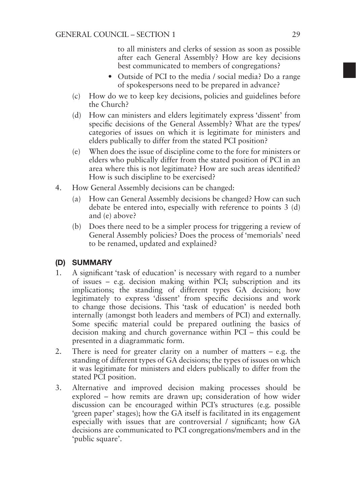to all ministers and clerks of session as soon as possible after each General Assembly? How are key decisions best communicated to members of congregations?

- Outside of PCI to the media / social media? Do a range of spokespersons need to be prepared in advance?
- (c) How do we to keep key decisions, policies and guidelines before the Church?
- (d) How can ministers and elders legitimately express 'dissent' from specific decisions of the General Assembly? What are the types/ categories of issues on which it is legitimate for ministers and elders publically to differ from the stated PCI position?
- (e) When does the issue of discipline come to the fore for ministers or elders who publically differ from the stated position of PCI in an area where this is not legitimate? How are such areas identified? How is such discipline to be exercised?
- 4. How General Assembly decisions can be changed:
	- (a) How can General Assembly decisions be changed? How can such debate be entered into, especially with reference to points 3 (d) and (e) above?
	- (b) Does there need to be a simpler process for triggering a review of General Assembly policies? Does the process of 'memorials' need to be renamed, updated and explained?

### (D) SUMMARY

- 1. A significant 'task of education' is necessary with regard to a number of issues – e.g. decision making within PCI; subscription and its implications; the standing of different types GA decision; how legitimately to express 'dissent' from specific decisions and work to change those decisions. This 'task of education' is needed both internally (amongst both leaders and members of PCI) and externally. Some specific material could be prepared outlining the basics of decision making and church governance within PCI – this could be presented in a diagrammatic form.
- 2. There is need for greater clarity on a number of matters e.g. the standing of different types of GA decisions; the types of issues on which it was legitimate for ministers and elders publically to differ from the stated PCI position.
- 3. Alternative and improved decision making processes should be explored – how remits are drawn up; consideration of how wider discussion can be encouraged within PCI's structures (e.g. possible 'green paper' stages); how the GA itself is facilitated in its engagement especially with issues that are controversial / significant; how GA decisions are communicated to PCI congregations/members and in the 'public square'.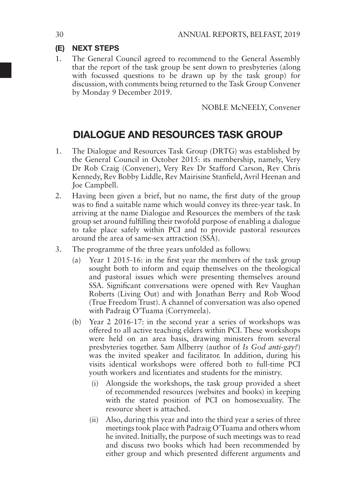### (E) NEXT STEPS

1. The General Council agreed to recommend to the General Assembly that the report of the task group be sent down to presbyteries (along with focussed questions to be drawn up by the task group) for discussion, with comments being returned to the Task Group Convener by Monday 9 December 2019.

NOBLE McNEELY, Convener

## DIALOGUE AND RESOURCES TASK GROUP

- 1. The Dialogue and Resources Task Group (DRTG) was established by the General Council in October 2015: its membership, namely, Very Dr Rob Craig (Convener), Very Rev Dr Stafford Carson, Rev Chris Kennedy, Rev Bobby Liddle, Rev Mairisine Stanfield, Avril Heenan and Joe Campbell.
- 2. Having been given a brief, but no name, the first duty of the group was to find a suitable name which would convey its three-year task. In arriving at the name Dialogue and Resources the members of the task group set around fulfilling their twofold purpose of enabling a dialogue to take place safely within PCI and to provide pastoral resources around the area of same-sex attraction (SSA).
- 3. The programme of the three years unfolded as follows:
	- (a) Year 1 2015-16: in the first year the members of the task group sought both to inform and equip themselves on the theological and pastoral issues which were presenting themselves around SSA. Significant conversations were opened with Rev Vaughan Roberts (Living Out) and with Jonathan Berry and Rob Wood (True Freedom Trust). A channel of conversation was also opened with Padraig O'Tuama (Corrymeela).
	- (b) Year 2 2016-17: in the second year a series of workshops was offered to all active teaching elders within PCI. These workshops were held on an area basis, drawing ministers from several presbyteries together. Sam Allberry (author of *Is God anti-gay?*) was the invited speaker and facilitator. In addition, during his visits identical workshops were offered both to full-time PCI youth workers and licentiates and students for the ministry.
		- (i) Alongside the workshops, the task group provided a sheet of recommended resources (websites and books) in keeping with the stated position of PCI on homosexuality. The resource sheet is attached.
		- (ii) Also, during this year and into the third year a series of three meetings took place with Padraig O'Tuama and others whom he invited. Initially, the purpose of such meetings was to read and discuss two books which had been recommended by either group and which presented different arguments and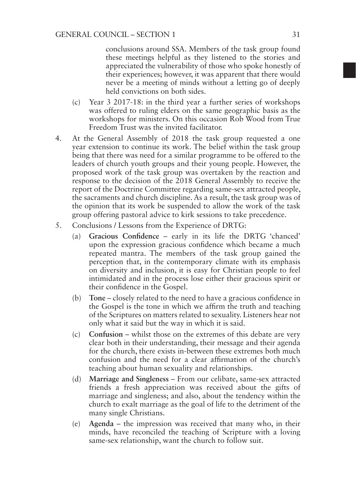conclusions around SSA. Members of the task group found these meetings helpful as they listened to the stories and appreciated the vulnerability of those who spoke honestly of their experiences; however, it was apparent that there would never be a meeting of minds without a letting go of deeply held convictions on both sides.

- (c) Year 3 2017-18: in the third year a further series of workshops was offered to ruling elders on the same geographic basis as the workshops for ministers. On this occasion Rob Wood from True Freedom Trust was the invited facilitator.
- 4. At the General Assembly of 2018 the task group requested a one year extension to continue its work. The belief within the task group being that there was need for a similar programme to be offered to the leaders of church youth groups and their young people. However, the proposed work of the task group was overtaken by the reaction and response to the decision of the 2018 General Assembly to receive the report of the Doctrine Committee regarding same-sex attracted people, the sacraments and church discipline. As a result, the task group was of the opinion that its work be suspended to allow the work of the task group offering pastoral advice to kirk sessions to take precedence.
- 5. Conclusions / Lessons from the Experience of DRTG:
	- (a) **Gracious Confidence** early in its life the DRTG 'chanced' upon the expression gracious confidence which became a much repeated mantra. The members of the task group gained the perception that, in the contemporary climate with its emphasis on diversity and inclusion, it is easy for Christian people to feel intimidated and in the process lose either their gracious spirit or their confidence in the Gospel.
	- (b) **Tone**  closely related to the need to have a gracious confidence in the Gospel is the tone in which we affirm the truth and teaching of the Scriptures on matters related to sexuality. Listeners hear not only what it said but the way in which it is said.
	- (c) **Confusion**  whilst those on the extremes of this debate are very clear both in their understanding, their message and their agenda for the church, there exists in-between these extremes both much confusion and the need for a clear affirmation of the church's teaching about human sexuality and relationships.
	- (d) **Marriage and Singleness** From our celibate, same-sex attracted friends a fresh appreciation was received about the gifts of marriage and singleness; and also, about the tendency within the church to exalt marriage as the goal of life to the detriment of the many single Christians.
	- (e) **Agenda**  the impression was received that many who, in their minds, have reconciled the teaching of Scripture with a loving same-sex relationship, want the church to follow suit.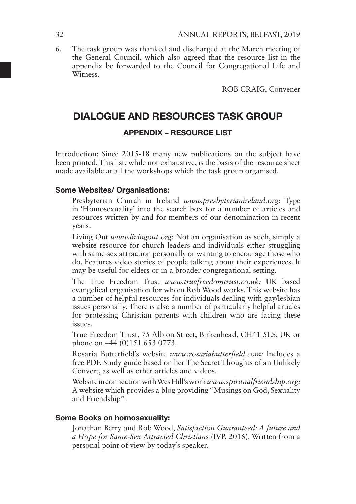6. The task group was thanked and discharged at the March meeting of the General Council, which also agreed that the resource list in the appendix be forwarded to the Council for Congregational Life and **Witness** 

ROB CRAIG, Convener

# DIALOGUE AND RESOURCES TASK GROUP

### APPENDIX – RESOURCE LIST

Introduction: Since 2015-18 many new publications on the subject have been printed. This list, while not exhaustive, is the basis of the resource sheet made available at all the workshops which the task group organised.

#### Some Websites/ Organisations:

Presbyterian Church in Ireland *www.presbyterianireland.org*: Type in 'Homosexuality' into the search box for a number of articles and resources written by and for members of our denomination in recent years.

Living Out *www.livingout.org:* Not an organisation as such, simply a website resource for church leaders and individuals either struggling with same-sex attraction personally or wanting to encourage those who do. Features video stories of people talking about their experiences. It may be useful for elders or in a broader congregational setting.

The True Freedom Trust *www.truefreedomtrust.co.uk:* UK based evangelical organisation for whom Rob Wood works. This website has a number of helpful resources for individuals dealing with gay/lesbian issues personally. There is also a number of particularly helpful articles for professing Christian parents with children who are facing these issues.

True Freedom Trust, 75 Albion Street, Birkenhead, CH41 5LS, UK or phone on +44 (0)151 653 0773.

Rosaria Butterfield's website *www.rosariabutterfield.com:* Includes a free PDF. Study guide based on her The Secret Thoughts of an Unlikely Convert, as well as other articles and videos.

Website in connection with Wes Hill's work *www.spiritualfriendship.org:* A website which provides a blog providing "Musings on God, Sexuality and Friendship".

### Some Books on homosexuality:

Jonathan Berry and Rob Wood, *Satisfaction Guaranteed: A future and a Hope for Same-Sex Attracted Christians* (IVP, 2016). Written from a personal point of view by today's speaker.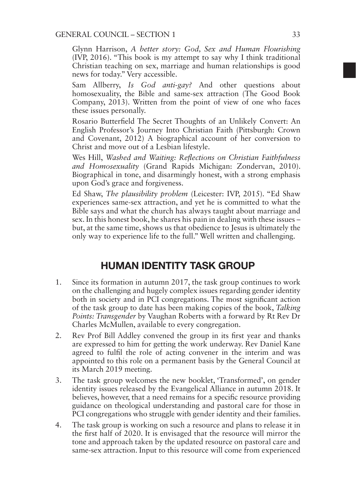### GENERAL COUNCIL – SECTION 1 33

Glynn Harrison, *A better story: God, Sex and Human Flourishing* (IVP, 2016). "This book is my attempt to say why I think traditional Christian teaching on sex, marriage and human relationships is good news for today." Very accessible.

Sam Allberry, *Is God anti-gay?* And other questions about homosexuality, the Bible and same-sex attraction (The Good Book Company, 2013). Written from the point of view of one who faces these issues personally.

Rosario Butterfield The Secret Thoughts of an Unlikely Convert: An English Professor's Journey Into Christian Faith (Pittsburgh: Crown and Covenant, 2012) A biographical account of her conversion to Christ and move out of a Lesbian lifestyle.

Wes Hill, *Washed and Waiting: Reflections on Christian Faithfulness and Homosexuality* (Grand Rapids Michigan: Zondervan, 2010). Biographical in tone, and disarmingly honest, with a strong emphasis upon God's grace and forgiveness.

Ed Shaw, *The plausibility problem* (Leicester: IVP, 2015). "Ed Shaw experiences same-sex attraction, and yet he is committed to what the Bible says and what the church has always taught about marriage and sex. In this honest book, he shares his pain in dealing with these issues – but, at the same time, shows us that obedience to Jesus is ultimately the only way to experience life to the full." Well written and challenging.

### HUMAN IDENTITY TASK GROUP

- 1. Since its formation in autumn 2017, the task group continues to work on the challenging and hugely complex issues regarding gender identity both in society and in PCI congregations. The most significant action of the task group to date has been making copies of the book, *Talking Points: Transgender* by Vaughan Roberts with a forward by Rt Rev Dr Charles McMullen, available to every congregation.
- 2. Rev Prof Bill Addley convened the group in its first year and thanks are expressed to him for getting the work underway. Rev Daniel Kane agreed to fulfil the role of acting convener in the interim and was appointed to this role on a permanent basis by the General Council at its March 2019 meeting.
- 3. The task group welcomes the new booklet, 'Transformed', on gender identity issues released by the Evangelical Alliance in autumn 2018. It believes, however, that a need remains for a specific resource providing guidance on theological understanding and pastoral care for those in PCI congregations who struggle with gender identity and their families.
- 4. The task group is working on such a resource and plans to release it in the first half of 2020. It is envisaged that the resource will mirror the tone and approach taken by the updated resource on pastoral care and same-sex attraction. Input to this resource will come from experienced